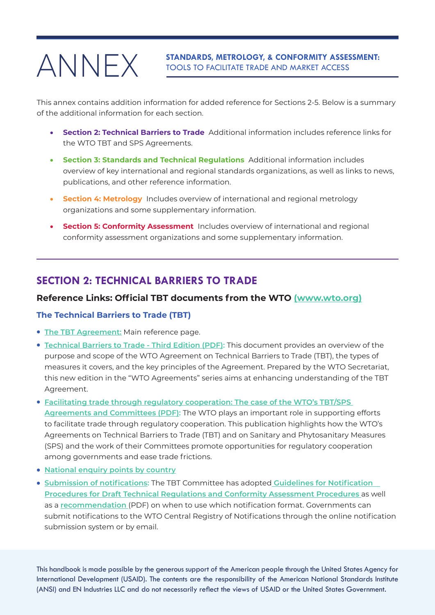# ANNEX

**STANDARDS, METROLOGY, & CONFORMITY ASSESSMENT:**  TOOLS TO FACILITATE TRADE AND MARKET ACCESS

This annex contains addition information for added reference for Sections 2-5. Below is a summary of the additional information for each section.

- **Section 2: Technical Barriers to Trade** Additional information includes reference links for the WTO TBT and SPS Agreements.
- • **Section 3: Standards and Technical Regulations** Additional information includes overview of key international and regional standards organizations, as well as links to news, publications, and other reference information.
- • **Section 4: Metrology** Includes overview of international and regional metrology organizations and some supplementary information.
- **Section 5: Conformity Assessment** Includes overview of international and regional conformity assessment organizations and some supplementary information.

# **SECTION 2: TECHNICAL BARRIERS TO TRADE**

#### **Reference Links: Official TBT documents from the WTO ([www.wto.org](http://www.wto.org))**

#### **The Technical Barriers to Trade (TBT)**

- **[The TBT Agreement:](file:https://www.wto.org/english/tratop_e/tbt_e/tbt_e.htm)** Main reference page.
- **[Technical Barriers to Trade Third Edition](https://www.wto.org/english/res_e/booksp_e/tbt3rd_e.pdf) (PDF):** This document provides an overview of the purpose and scope of the WTO Agreement on Technical Barriers to Trade (TBT), the types of measures it covers, and the key principles of the Agreement. Prepared by the WTO Secretariat, this new edition in the "WTO Agreements" series aims at enhancing understanding of the TBT Agreement.
- **Facilitating trade through regulatory cooperation: The case of the WTO's TBT/SPS [Agreements and Committees](https://www.oecd.org/gov/facilitating-trade-through-regulatory-co-operation-ad3c655f-en.htm) (PDF):** The WTO plays an important role in supporting efforts to facilitate trade through regulatory cooperation. This publication highlights how the WTO's Agreements on Technical Barriers to Trade (TBT) and on Sanitary and Phytosanitary Measures (SPS) and the work of their Committees promote opportunities for regulatory cooperation among governments and ease trade frictions.
- **[National enquiry points by country](https://epingalert.org/#/enquiry-points/tbt)**
- **[Submission of notifications:](https://www.wto.org/english/tratop_e/tbt_e/tbt_notifications_e.htm)** The TBT Committee has adopted **[Guidelines for Notification](https://www.wto.org/english/res_e/publications_e/tbttotrade_e.pdf#page=128) [Procedures for Draft Technical Regulations and Conformity Assessment Procedures](https://www.wto.org/english/res_e/publications_e/tbttotrade_e.pdf#page=128)** as well as a **[recommendation](https://www.wto.org/english/tratop_e/tbt_e/tbt_handbook_on_notifications_e.pdf)** (PDF) on when to use which notification format. Governments can submit notifications to the WTO Central Registry of Notifications through the online notification submission system or by email.

(ANSI) and EN Industries LLC and do not necessarily reflect the views of USAID or the United States Government. This handbook is made possible by the generous support of the American people through the United States Agency for International Development (USAID). The contents are the responsibility of the American National Standards Institute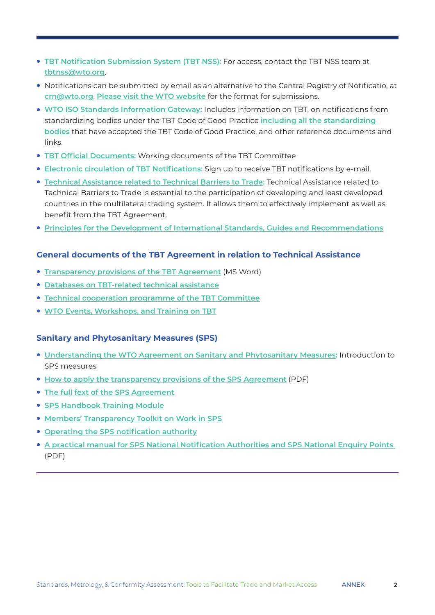- **[TBT Notification Submission System](https://nss.wto.org/tbtmembers/) (TBT NSS):** For access, contact the TBT NSS team at **[tbtnss@wto.org](mailto:tbtnss@wto.org)**.
- Notifications can be submitted by email as an alternative to the Central Registry of Notificatio, at **[crn@wto.org](mailto:crn%40wto.org?subject=)**. **[Please visit the WTO website](https://www.wto.org/english/tratop_e/tbt_e/tbt_notifications_e.htm)** for the format for submissions.
- **[WTO ISO Standards Information Gateway](https://tbtcode.iso.org/sites/wto-tbt/home.html): Includes information on TBT, on notifications from** standardizing bodies under the TBT Code of Good Practice **[including all the standardizing](https://tbtcode.iso.org/sites/wto-tbt/list-of-standardizing-bodies.html)  [bodies](https://tbtcode.iso.org/sites/wto-tbt/list-of-standardizing-bodies.html)** that have accepted the TBT Code of Good Practice, and other reference documents and links.
- **[TBT Official Documents:](https://www.wto.org/english/tratop_e/tbt_e/tbt_work_docs_e.htm)** Working documents of the TBT Committee
- **[Electronic circulation of TBT Notifications](https://www.wto.org/english/tratop_e/tbt_e/tbt_mailing_list_e.htm):** Sign up to receive TBT notifications by e-mail.
- <sup>l</sup> **[Technical Assistance related to Technical Barriers to Trade:](https://www.wto.org/english/tratop_e/tbt_e/tbt_tech_e.htm)** Technical Assistance related to Technical Barriers to Trade is essential to the participation of developing and least developed countries in the multilateral trading system. It allows them to effectively implement as well as benefit from the TBT Agreement.
- **[Principles for the Development of International Standards, Guides and Recommendations](https://www.wto.org/english/tratop_e/tbt_e/principles_standards_tbt_e.htm)**

#### **General documents of the TBT Agreement in relation to Technical Assistance**

- **[Transparency provisions of the TBT Agreement](https://www.wto.org/english/tratop_e/tbt_e/booklet_transparency_e.doc)** (MS Word)
- **[Databases on TBT-related technical assistance](https://www.wto.org/english/tratop_e/tbt_e/tbt_tech_link_e.htm)**
- **[Technical cooperation programme of the TBT Committee](https://www.wto.org/english/tratop_e/tbt_e/tbt_tech_prog_e.htm)**
- **[WTO Events, Workshops, and Training on TBT](https://www.wto.org/english/tratop_e/tbt_e/tbt_events_e.htm)**

#### **Sanitary and Phytosanitary Measures (SPS)**

- **.** [Understanding the WTO Agreement on Sanitary and Phytosanitary Measures:](https://www.wto.org/english/tratop_e/sps_e/spsund_e.htm) Introduction to SPS measures
- **[How to apply the transparency provisions of the SPS Agreement](https://www.wto.org/english/tratop_e/sps_e/spshand_e.pdf)** (PDF)
- **[The full fext of the SPS Agreement](https://www.wto.org/english/tratop_e/sps_e/spsagr_e.htm)**
- **[SPS Handbook Training Module](https://www.wto.org/english/tratop_e/sps_e/sps_handbook_cbt_e/signin_e.htm)**
- **[Members' Transparency Toolkit on Work in SPS](https://www.wto.org/english/tratop_e/sps_e/transparency_toolkit_e.htm)**
- **[Operating the SPS notification authority](https://www.wto.org/english/tratop_e/sps_e/sps_handbook_cbt_e/c2s1p1_e.htm)**
- **A practical manual for SPS National Notification Authorities and SPS National Enquiry Points** [\(PDF\)](https://www.wto.org/english/tratop_e/sps_e/practical_manual_for_sps_national_notification_authorities_and_sps_national_enquiry_points_7531_18_e.pdf)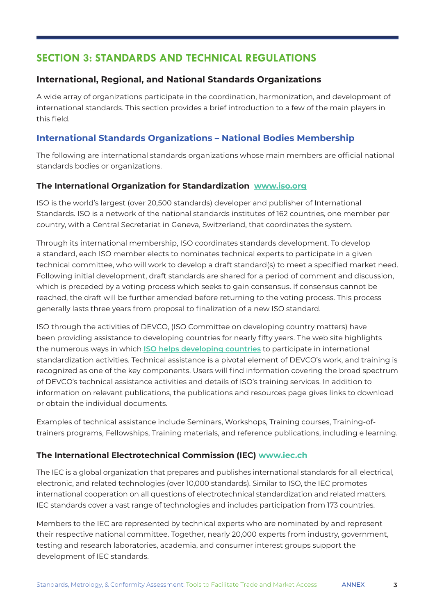# **SECTION 3: STANDARDS AND TECHNICAL REGULATIONS**

# **International, Regional, and National Standards Organizations**

A wide array of organizations participate in the coordination, harmonization, and development of international standards. This section provides a brief introduction to a few of the main players in this field.

# **International Standards Organizations – National Bodies Membership**

The following are international standards organizations whose main members are official national standards bodies or organizations.

## **The International Organization for Standardization [www.iso.org](http://www.iso.org)**

ISO is the world's largest (over 20,500 standards) developer and publisher of International Standards. ISO is a network of the national standards institutes of 162 countries, one member per country, with a Central Secretariat in Geneva, Switzerland, that coordinates the system.

Through its international membership, ISO coordinates standards development. To develop a standard, each ISO member elects to nominates technical experts to participate in a given technical committee, who will work to develop a draft standard(s) to meet a specified market need. Following initial development, draft standards are shared for a period of comment and discussion, which is preceded by a voting process which seeks to gain consensus. If consensus cannot be reached, the draft will be further amended before returning to the voting process. This process generally lasts three years from proposal to finalization of a new ISO standard.

ISO through the activities of DEVCO, (ISO Committee on developing country matters) have been providing assistance to developing countries for nearly fifty years. The web site highlights the numerous ways in which **[ISO helps developing countries](https://www.iso.org/files/live/sites/isoorg/files/store/en/PUB100374.pdf)** to participate in international standardization activities. Technical assistance is a pivotal element of DEVCO's work, and training is recognized as one of the key components. Users will find information covering the broad spectrum of [DEVCO's technical assistance activities](http://www.iso.org/iso/resources/developing_countries/technical_assistance_devco/features_of_technical_assistance.htm) and details of ISO's [training services](http://www.iso.org/iso/about/training_at_iso.htm). In addition to information on relevant publications, the [publications and resources](http://www.iso.org/iso/resources/developing_countries/publications_and_resources_devco.htm) page gives links to download or obtain the individual documents.

Examples of technical assistance include Seminars, Workshops, Training courses, Training-oftrainers programs, Fellowships, Training materials, and reference publications, including e learning.

# **The International Electrotechnical Commission (IEC) [www.iec.ch](http://www.iec.ch)**

The IEC is a global organization that prepares and publishes international standards for all electrical, electronic, and related technologies (over 10,000 standards). Similar to ISO, the IEC promotes international cooperation on all questions of electrotechnical standardization and related matters. IEC standards cover a vast range of technologies and includes participation from 173 countries.

Members to the IEC are represented by technical experts who are nominated by and represent their respective national committee. Together, nearly 20,000 experts from industry, government, testing and research laboratories, academia, and consumer interest groups support the development of IEC standards.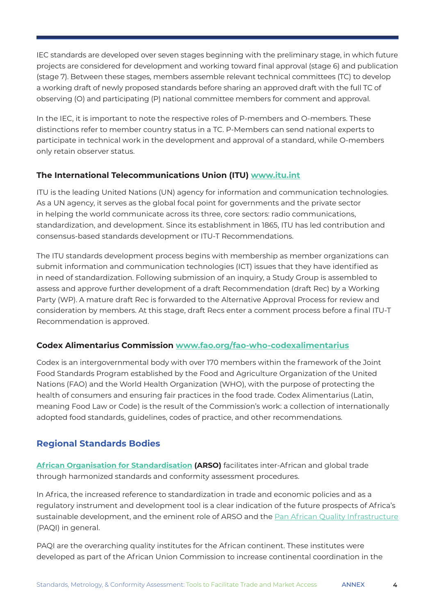IEC standards are developed over seven stages beginning with the preliminary stage, in which future projects are considered for development and working toward final approval (stage 6) and publication (stage 7). Between these stages, members assemble relevant technical committees (TC) to develop a working draft of newly proposed standards before sharing an approved draft with the full TC of observing (O) and participating (P) national committee members for comment and approval.

In the IEC, it is important to note the respective roles of P-members and O-members. These distinctions refer to member country status in a TC. P-Members can send national experts to participate in technical work in the development and approval of a standard, while O-members only retain observer status.

# **The International Telecommunications Union (ITU) [www.itu.int](http://www.itu.int)**

ITU is the leading [United Nations](about:blank) (UN) agency for information and communication technologies. As a UN agency, it serves as the global focal point for governments and the private sector in helping the world communicate across its three, core sectors: [radio communication](about:blank)s, [standardization](about:blank), and [development.](about:blank) Since its establishment in 1865, ITU has led contribution and consensus-based standards development or ITU-T Recommendations.

The ITU standards development process begins with membership as member organizations can submit information and communication technologies (ICT) issues that they have identified as in need of standardization. Following submission of an inquiry, a Study Group is assembled to assess and approve further development of a draft Recommendation (draft Rec) by a Working Party (WP). A mature draft Rec is forwarded to the Alternative Approval Process for review and consideration by members. At this stage, draft Recs enter a comment process before a final ITU-T Recommendation is approved.

# **Codex Alimentarius Commission [www.fao.org/fao-who-codexalimentarius](http://www.fao.org/fao-who-codexalimentarius )**

Codex is an intergovernmental body with over 170 members within the framework of the Joint Food Standards Program established by the Food and Agriculture Organization of the United Nations (FAO) and the World Health Organization (WHO), with the purpose of protecting the health of consumers and ensuring fair practices in the food trade. Codex Alimentarius (Latin, meaning Food Law or Code) is the result of the Commission's work: a collection of internationally adopted food standards, guidelines, codes of practice, and other recommendations.

# **Regional Standards Bodies**

**[African Organisation for Standardisation](https://www.arso-oran.org/) (ARSO)** facilitates inter-African and global trade through harmonized standards and conformity assessment procedures.

In Africa, the increased reference to standardization in trade and economic policies and as a regulatory instrument and development tool is a clear indication of the future prospects of Africa's sustainable development, and the eminent role of ARSO and the [Pan African Quality Infrastructure](http://www.paqi.org/) (PAQI) in general.

PAQI are the overarching quality institutes for the African continent. These institutes were developed as part of the African Union Commission to increase continental coordination in the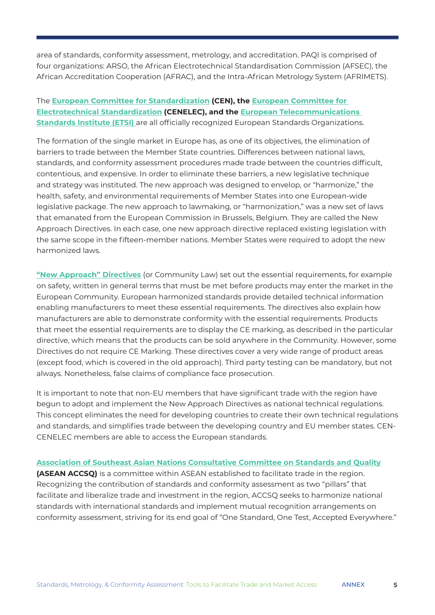area of standards, conformity assessment, metrology, and accreditation. PAQI is comprised of four organizations: ARSO, the African Electrotechnical Standardisation Commission (AFSEC), the African Accreditation Cooperation (AFRAC), and the Intra-African Metrology System (AFRIMETS).

#### The **[European Committee for Standardization](https://www.cencenelec.eu/) (CEN), the [European Committee for](https://www.cencenelec.eu/)  [Electrotechnical Standardization](https://www.cencenelec.eu/) (CENELEC), and the [European Telecommunications](https://www.etsi.org/)  [Standards Institute \(ETSI\)](https://www.etsi.org/)** are all officially recognized European Standards Organizations.

The formation of the single market in Europe has, as one of its objectives, the elimination of barriers to trade between the Member State countries. Differences between national laws, standards, and conformity assessment procedures made trade between the countries difficult, contentious, and expensive. In order to eliminate these barriers, a new legislative technique and strategy was instituted. The new approach was designed to envelop, or "harmonize," the health, safety, and environmental requirements of Member States into one European-wide legislative package. The new approach to lawmaking, or "harmonization," was a new set of laws that emanated from the European Commission in Brussels, Belgium. They are called the New Approach Directives. In each case, one new approach directive replaced existing legislation with the same scope in the fifteen-member nations. Member States were required to adopt the new harmonized laws.

**["New Approach" Directives](https://ec.europa.eu/growth/single-market/goods/new-legislative-framework_en)** (or Community Law) set out the essential requirements, for example on safety, written in general terms that must be met before products may enter the market in the European Community. European harmonized standards provide detailed technical information enabling manufacturers to meet these essential requirements. The directives also explain how manufacturers are able to demonstrate conformity with the essential requirements. Products that meet the essential requirements are to display the CE marking, as described in the particular directive, which means that the products can be sold anywhere in the Community. However, some Directives do not require CE Marking. These directives cover a very wide range of product areas (except food, which is covered in the old approach). Third party testing can be mandatory, but not always. Nonetheless, false claims of compliance face prosecution.

It is important to note that non-EU members that have significant trade with the region have begun to adopt and implement the New Approach Directives as national technical regulations. This concept eliminates the need for developing countries to create their own technical regulations and standards, and simplifies trade between the developing country and EU member states. CEN-CENELEC members are able to access the European standards.

**[Association of Southeast Asian Nations Consultative Committee on Standards and Quality](https://asean.org/meetingreportparent/asean-consultative-committee-for-standards-and-quality-accsq/) (ASEAN ACCSQ)** is a committee within ASEAN established to facilitate trade in the region. Recognizing the contribution of standards and conformity assessment as two "pillars" that facilitate and liberalize trade and investment in the region, ACCSQ seeks to harmonize national standards with international standards and implement mutual recognition arrangements on conformity assessment, striving for its end goal of "One Standard, One Test, Accepted Everywhere."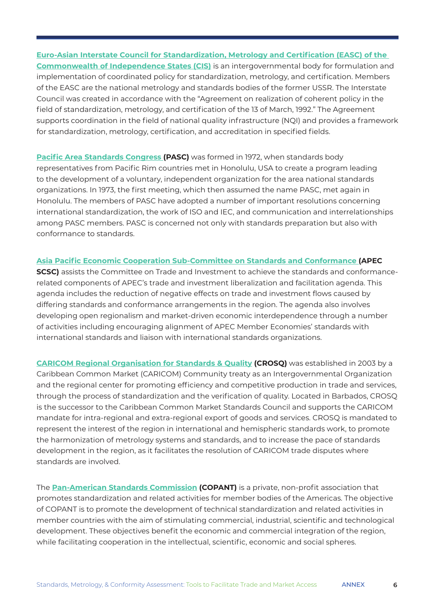**[Euro-Asian Interstate Council for Standardization, Metrology and Certification \(EASC\) of the](https://www.rst.gov.ru/portal/eng//home/cooperation/eacs#:~:text=Euroasian%20Interstate%20council%20(EASC)&text=The%20Interstate%20Council%20for%20Standardization,of%20standardization%2C%20metrology%20and%20certification.)  [Commonwealth of Independence States \(CIS\)](https://www.rst.gov.ru/portal/eng//home/cooperation/eacs#:~:text=Euroasian%20Interstate%20council%20(EASC)&text=The%20Interstate%20Council%20for%20Standardization,of%20standardization%2C%20metrology%20and%20certification.)** is an intergovernmental body for formulation and implementation of coordinated policy for standardization, metrology, and certification. Members of the EASC are the national metrology and standards bodies of the former USSR. The Interstate Council was created in accordance with the "Agreement on realization of coherent policy in the field of standardization, metrology, and certification of the 13 of March, 1992." The Agreement supports coordination in the field of national quality infrastructure (NQI) and provides a framework for standardization, metrology, certification, and accreditation in specified fields.

**[Pacific Area Standards Congress \(](https://pascnet.org/)PASC)** was formed in 1972, when standards body representatives from Pacific Rim countries met in Honolulu, USA to create a program leading to the development of a voluntary, independent organization for the area national standards organizations. In 1973, the first meeting, which then assumed the name PASC, met again in Honolulu. The members of PASC have adopted a number of important resolutions concerning international standardization, the work of ISO and IEC, and communication and interrelationships among PASC members. PASC is concerned not only with standards preparation but also with conformance to standards.

#### **[Asia Pacific Economic Cooperation Sub-Committee on Standards and Conformance](https://www.apec.org/groups/committee-on-trade-and-investment/sub-committee-on-standards-and-conformance) (APEC**

**SCSC)** assists the Committee on Trade and Investment to achieve the standards and conformancerelated components of APEC's trade and investment liberalization and facilitation agenda. This agenda includes the reduction of negative effects on trade and investment flows caused by differing standards and conformance arrangements in the region. The agenda also involves developing open regionalism and market-driven economic interdependence through a number of activities including encouraging alignment of APEC Member Economies' standards with international standards and liaison with international standards organizations.

**[CARICOM Regional Organisation for Standards & Quality](https://caricom.org/institutions/caricom-regional-organisation-for-standards-and-quality-crosq/) (CROSQ)** was established in 2003 by a Caribbean Common Market (CARICOM) Community treaty as an Intergovernmental Organization and the regional center for promoting efficiency and competitive production in trade and services, through the process of standardization and the verification of quality. Located in Barbados, CROSQ is the successor to the Caribbean Common Market Standards Council and supports the CARICOM mandate for intra-regional and extra-regional export of goods and services. CROSQ is mandated to represent the interest of the region in international and hemispheric standards work, to promote the harmonization of metrology systems and standards, and to increase the pace of standards development in the region, as it facilitates the resolution of CARICOM trade disputes where standards are involved.

The **[Pan-American Standards Commission](https://www.copant.org/index.php/en/) (COPANT)** is a private, non-profit association that promotes standardization and related activities for member bodies of the Americas. The objective of COPANT is to promote the development of technical standardization and related activities in member countries with the aim of stimulating commercial, industrial, scientific and technological development. These objectives benefit the economic and commercial integration of the region, while facilitating cooperation in the intellectual, scientific, economic and social spheres.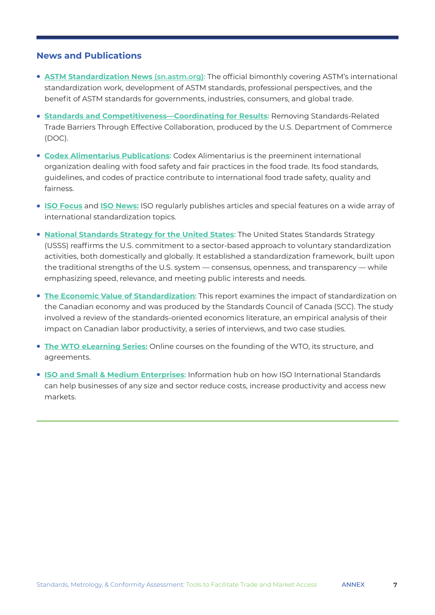#### **News and Publications**

- **[ASTM Standardization News](https://sn.astm.org/) (sn.astm.org):** The official bimonthly covering ASTM's international standardization work, development of ASTM standards, professional perspectives, and the benefit of ASTM standards for governments, industries, consumers, and global trade.
- **[Standards and Competitiveness—Coordinating for Results](https://share.ansi.org/shared documents/News and Publications/Links Within Stories/trade_barriers_report.pdf): Removing Standards-Related** Trade Barriers Through Effective Collaboration, produced by the U.S. Department of Commerce (DOC).
- **[Codex Alimentarius Publications](https://www.fao.org/fao-who-codexalimentarius/publications/en/):** Codex Alimentarius is the preeminent international organization dealing with food safety and fair practices in the food trade. Its food standards, guidelines, and codes of practice contribute to international food trade safety, quality and fairness.
- **[ISO Focus](https://www.iso.org/isofocus/x/)** and **[ISO News:](https://www.iso.org/news.html)** ISO regularly publishes articles and special features on a wide array of international standardization topics.
- **[National Standards Strategy for the United States](https://www.ansi.org/resource-center/publications-subscriptions/usss):** The United States Standards Strategy (USSS) reaffirms the U.S. commitment to a sector-based approach to voluntary standardization activities, both domestically and globally. It established a standardization framework, built upon the traditional strengths of the U.S. system — consensus, openness, and transparency — while emphasizing speed, relevance, and meeting public interests and needs.
- **[The Economic Value of Standardization](https://www.scc.ca/en/about-scc/publications/general/economic-value-standardization-report-presented-scc-conference-board-canada)**: This report examines the impact of standardization on the Canadian economy and was produced by the Standards Council of Canada (SCC). The study involved a review of the standards-oriented economics literature, an empirical analysis of their impact on Canadian labor productivity, a series of interviews, and two case studies.
- **[The WTO eLearning Series](https://wtolearning.csod.com/client/wtolearning/default.aspx):** Online courses on the founding of the WTO, its structure, and agreements.
- **[ISO and Small & Medium Enterprises](https://www.iso.org/iso-and-smes.html):** Information hub on how ISO International Standards can help businesses of any size and sector reduce costs, increase productivity and access new markets.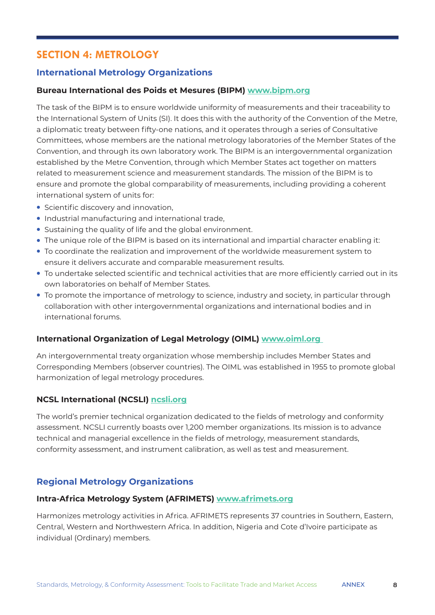# **SECTION 4: METROLOGY**

# **International Metrology Organizations**

#### **Bureau International des Poids et Mesures (BIPM) [www.bipm.org](http://www.bipm.org)**

The task of the BIPM is to ensure worldwide uniformity of measurements and their traceability to the International System of Units (SI). It does this with the authority of the Convention of the Metre, a diplomatic treaty between fifty-one nations, and it operates through a series of Consultative Committees, whose members are the national metrology laboratories of the Member States of the Convention, and through its own laboratory work. The BIPM is an intergovernmental organization established by the Metre Convention, through which Member States act together on matters related to measurement science and measurement standards. The mission of the BIPM is to ensure and promote the global comparability of measurements, including providing a coherent international system of units for:

- **Scientific discovery and innovation,**
- **.** Industrial manufacturing and international trade,
- Sustaining the quality of life and the global environment.
- The unique role of the BIPM is based on its international and impartial character enabling it:
- $\bullet$  To coordinate the realization and improvement of the worldwide measurement system to ensure it delivers accurate and comparable measurement results.
- $\bullet$  To undertake selected scientific and technical activities that are more efficiently carried out in its own laboratories on behalf of Member States.
- To promote the importance of metrology to science, industry and society, in particular through collaboration with other intergovernmental organizations and international bodies and in international forums.

#### **International Organization of Legal Metrology (OIML) [www.oiml.org](http://www.oiml.org)**

An intergovernmental treaty organization whose membership includes [Member States](about:blank) and [Corresponding Members](about:blank) (observer countries). The OIML was established in 1955 to promote global harmonization of legal metrology procedures.

#### **NCSL International (NCSLI) [ncsli.org](http://ncsli.org)**

The world's premier technical organization dedicated to the fields of metrology and conformity assessment. NCSLI currently boasts over 1,200 member organizations. Its mission is to advance technical and managerial excellence in the fields of metrology, measurement standards, conformity assessment, and instrument calibration, as well as test and measurement.

# **Regional Metrology Organizations**

#### **Intra-Africa Metrology System (AFRIMETS) [www.afrimets.org](http://www.afrimets.org)**

Harmonizes metrology activities in Africa. AFRIMETS represents 37 countries in Southern, Eastern, Central, Western and Northwestern Africa. In addition, Nigeria and Cote d'Ivoire participate as individual (Ordinary) members.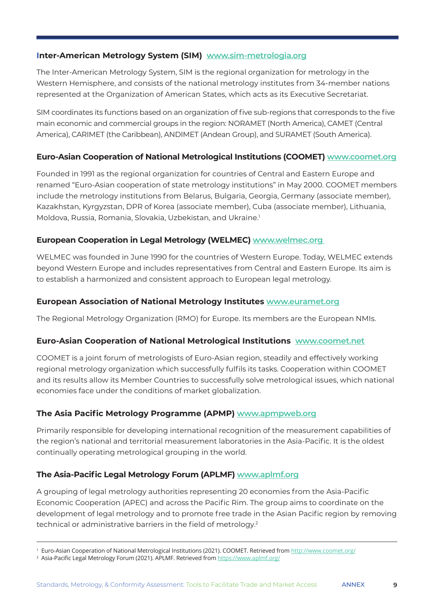#### **Inter-American Metrology System (SIM) [www.sim-metrologia.org](http://www.sim-metrologia.org)**

The Inter-American Metrology System, SIM is the regional organization for metrology in the Western Hemisphere, and consists of the national metrology institutes from 34-member nations represented at the Organization of American States, which acts as its Executive Secretariat.

SIM coordinates its functions based on an organization of five sub-regions that corresponds to the five main economic and commercial groups in the region: NORAMET (North America), CAMET (Central America), CARIMET (the Caribbean), ANDIMET (Andean Group), and SURAMET (South America).

#### **Euro-Asian Cooperation of National Metrological Institutions (COOMET) [www.coomet.org](http://www.coomet.org)**

Founded in 1991 as the regional organization for countries of Central and Eastern Europe and renamed "Euro-Asian cooperation of state metrology institutions" in May 2000. COOMET members include the metrology institutions from Belarus, Bulgaria, Georgia, Germany (associate member), Kazakhstan, Kyrgyzstan, DPR of Korea (associate member), Cuba (associate member), Lithuania, Moldova, Russia, Romania, Slovakia, Uzbekistan, and Ukraine.<sup>1</sup>

#### **European Cooperation in Legal Metrology (WELMEC) [www.welmec.org](http://www.welmec.org)**

WELMEC was founded in June 1990 for the countries of Western Europe. Today, WELMEC extends beyond Western Europe and includes representatives from Central and Eastern Europe. Its aim is to establish a harmonized and consistent approach to European legal metrology.

#### **European Association of National Metrology Institutes [www.euramet.org](http://www.euramet.org)**

The Regional Metrology Organization (RMO) for Europe. Its members are the European NMIs.

#### **Euro-Asian Cooperation of National Metrological Institutions [www.coomet.net](http://www.coomet.net)**

COOMET is a joint forum of metrologists of Euro-Asian region, steadily and effectively working regional metrology organization which successfully fulfils its tasks. Cooperation within COOMET and its results allow its Member Countries to successfully solve metrological issues, which national economies face under the conditions of market globalization.

#### **The Asia Pacific Metrology Programme (APMP) [www.apmpweb.org](http://www.apmpweb.org)**

Primarily responsible for developing international recognition of the measurement capabilities of the region's national and territorial measurement laboratories in the Asia-Pacific. It is the oldest continually operating metrological grouping in the world.

#### **The Asia-Pacific Legal Metrology Forum (APLMF) [www.aplmf.org](http://www.aplmf.org)**

A grouping of legal metrology authorities representing 20 economies from the Asia-Pacific Economic Cooperation (APEC) and across the Pacific Rim. The group aims to coordinate on the development of legal metrology and to promote free trade in the Asian Pacific region by removing technical or administrative barriers in the field of metrology.2

<sup>&</sup>lt;sup>1</sup> Euro-Asian Cooperation of National Metrological Institutions (2021). COOMET. Retrieved from <u><http://www.coomet.org/></u>

<sup>&</sup>lt;sup>2</sup> Asia-Pacific Legal Metrology Forum (2021). APLMF. Retrieved from <u><https://www.aplmf.org/></u>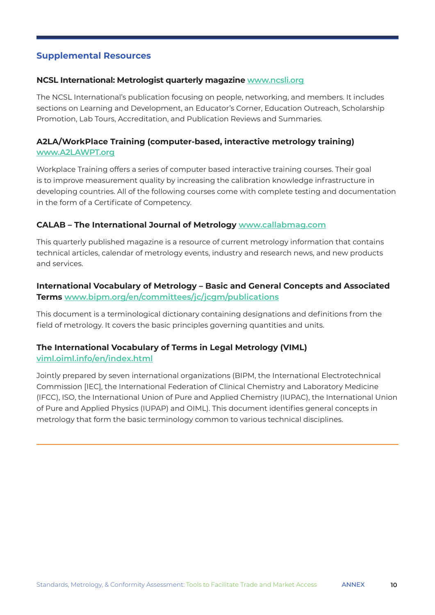# **Supplemental Resources**

#### **NCSL International: Metrologist quarterly magazine [www.ncsli.org](http://www.ncsli.org)**

The NCSL International's publication focusing on people, networking, and members. It includes sections on Learning and Development, an Educator's Corner, Education Outreach, Scholarship Promotion, Lab Tours, Accreditation, and Publication Reviews and Summaries.

# **A2LA/WorkPlace Training (computer-based, interactive metrology training) [www.A2LAWPT.org](http://www.A2LAWPT.org)**

Workplace Training offers a series of computer based interactive training courses. Their goal is to improve measurement quality by increasing the calibration knowledge infrastructure in developing countries. All of the following courses come with complete testing and documentation in the form of a Certificate of Competency.

#### **CALAB – The International Journal of Metrology [www.callabmag.com](http://www.callabmag.com)**

This quarterly published magazine is a resource of current metrology information that contains technical articles, calendar of metrology events, industry and research news, and new products and services.

# **International Vocabulary of Metrology – Basic and General Concepts and Associated Terms [www.bipm.org/en/committees/jc/jcgm/publications](http://www.bipm.org/en/committees/jc/jcgm/publications)**

This document is a terminological dictionary containing designations and definitions from the field of metrology. It covers the basic principles governing quantities and units.

#### **The International Vocabulary of Terms in Legal Metrology (VIML) [viml.oiml.info/en/index.html](http://viml.oiml.info/en/index.html)**

Jointly prepared by seven international organizations (BIPM, the International Electrotechnical Commission [IEC], the International Federation of Clinical Chemistry and Laboratory Medicine (IFCC), ISO, the International Union of Pure and Applied Chemistry (IUPAC), the International Union of Pure and Applied Physics (IUPAP) and OIML). This document identifies general concepts in metrology that form the basic terminology common to various technical disciplines.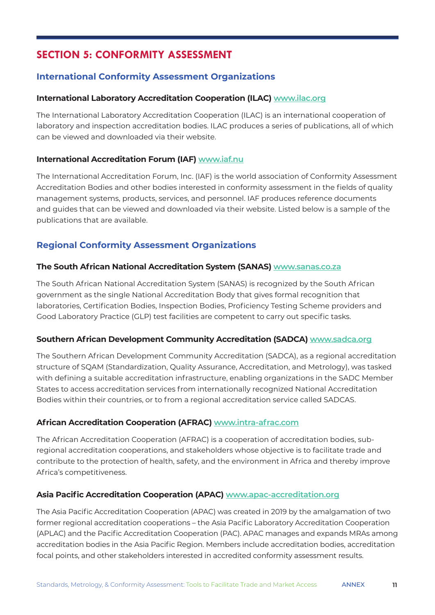# **SECTION 5: CONFORMITY ASSESSMENT**

# **International Conformity Assessment Organizations**

## **International Laboratory Accreditation Cooperation (ILAC) [www.ilac.org](http://www.ilac.org)**

The International Laboratory Accreditation Cooperation (ILAC) is an international cooperation of laboratory and inspection accreditation bodies. ILAC produces a series of publications, all of which can be viewed and downloaded via their website.

## **International Accreditation Forum (IAF) [www.iaf.nu](http://www.iaf.nu)**

The International Accreditation Forum, Inc. (IAF) is the world association of Conformity Assessment Accreditation Bodies and other bodies interested in conformity assessment in the fields of quality management systems, products, services, and personnel. IAF produces reference documents and guides that can be viewed and downloaded via their website. Listed below is a sample of the publications that are available.

# **Regional Conformity Assessment Organizations**

#### **The South African National Accreditation System (SANAS) [www.sanas.co.za](http://www.sanas.co.za)**

The South African National Accreditation System (SANAS) is recognized by the South African government as the single National Accreditation Body that gives formal recognition that laboratories, Certification Bodies, Inspection Bodies, Proficiency Testing Scheme providers and Good Laboratory Practice (GLP) test facilities are competent to carry out specific tasks.

#### **Southern African Development Community Accreditation (SADCA) [www.sadca.org](http://www.sadca.org)**

The Southern African Development Community Accreditation (SADCA), as a regional accreditation structure of SQAM (Standardization, Quality Assurance, Accreditation, and Metrology), was tasked with defining a suitable accreditation infrastructure, enabling organizations in the SADC Member States to access accreditation services from internationally recognized National Accreditation Bodies within their countries, or to from a regional accreditation service called SADCAS.

# **African Accreditation Cooperation (AFRAC) [www.intra-afrac.com](http://www.intra-afrac.com)**

The African Accreditation Cooperation (AFRAC) is a cooperation of accreditation bodies, subregional accreditation cooperations, and stakeholders whose objective is to facilitate trade and contribute to the protection of health, safety, and the environment in Africa and thereby improve Africa's competitiveness.

# **Asia Pacific Accreditation Cooperation (APAC) [www.apac-accreditation.org](http://www.apac-accreditation.org)**

The Asia Pacific Accreditation Cooperation (APAC) was created in 2019 by the amalgamation of two former regional accreditation cooperations – the Asia Pacific Laboratory Accreditation Cooperation (APLAC) and the Pacific Accreditation Cooperation (PAC). APAC manages and expands MRAs among accreditation bodies in the Asia Pacific Region. Members include accreditation bodies, accreditation focal points, and other stakeholders interested in accredited conformity assessment results.